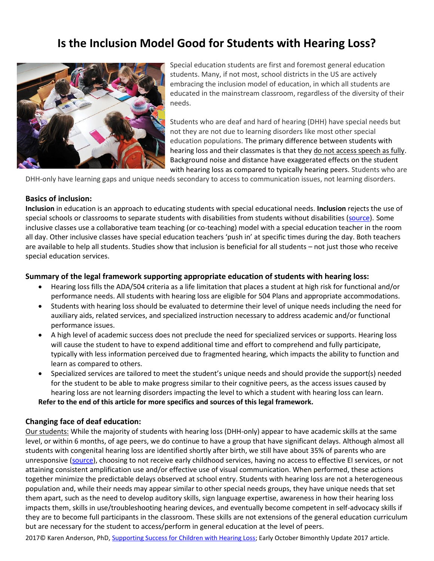# **Is the Inclusion Model Good for Students with Hearing Loss?**



Special education students are first and foremost general education students. Many, if not most, school districts in the US are actively embracing the inclusion model of education, in which all students are educated in the mainstream classroom, regardless of the diversity of their needs.

Students who are deaf and hard of hearing (DHH) have special needs but not they are not due to learning disorders like most other special education populations. The primary difference between students with hearing loss and their classmates is that they do not access speech as fully. Background noise and distance have exaggerated effects on the student with hearing loss as compared to typically hearing peers. Students who are

DHH-only have learning gaps and unique needs secondary to access to communication issues, not learning disorders.

## **Basics of inclusion:**

**Inclusion** in education is an approach to educating students with special educational needs. **Inclusion** rejects the use of special schools or classrooms to separate students with disabilities from students without disabilities [\(source\)](https://en.wikipedia.org/wiki/Inclusion_(education)). Some inclusive classes use a collaborative team teaching (or co-teaching) model with a special education teacher in the room all day. Other inclusive classes have special education teachers 'push in' at specific times during the day. Both teachers are available to help all students. Studies show that inclusion is beneficial for all students – not just those who receive special education services.

# **Summary of the legal framework supporting appropriate education of students with hearing loss:**

- Hearing loss fills the ADA/504 criteria as a life limitation that places a student at high risk for functional and/or performance needs. All students with hearing loss are eligible for 504 Plans and appropriate accommodations.
- Students with hearing loss should be evaluated to determine their level of unique needs including the need for auxiliary aids, related services, and specialized instruction necessary to address academic and/or functional performance issues.
- A high level of academic success does not preclude the need for specialized services or supports. Hearing loss will cause the student to have to expend additional time and effort to comprehend and fully participate, typically with less information perceived due to fragmented hearing, which impacts the ability to function and learn as compared to others.
- Specialized services are tailored to meet the student's unique needs and should provide the support(s) needed for the student to be able to make progress similar to their cognitive peers, as the access issues caused by hearing loss are not learning disorders impacting the level to which a student with hearing loss can learn. **Refer to the end of this article for more specifics and sources of this legal framework.**

# **Changing face of deaf education:**

Our students: While the majority of students with hearing loss (DHH-only) appear to have academic skills at the same level, or within 6 months, of age peers, we do continue to have a group that have significant delays. Although almost all students with congenital hearing loss are identified shortly after birth, we still have about 35% of parents who are unresponsive [\(source\)](https://www.cdc.gov/ncbddd/hearingloss/2014-data/2014_LFU_Summary_Web_3.pdf), choosing to not receive early childhood services, having no access to effective EI services, or not attaining consistent amplification use and/or effective use of visual communication. When performed, these actions together minimize the predictable delays observed at school entry. Students with hearing loss are not a heterogeneous population and, while their needs may appear similar to other special needs groups, they have unique needs that set them apart, such as the need to develop auditory skills, sign language expertise, awareness in how their hearing loss impacts them, skills in use/troubleshooting hearing devices, and eventually become competent in self-advocacy skills if they are to become full participants in the classroom. These skills are not extensions of the general education curriculum but are necessary for the student to access/perform in general education at the level of peers.

2017© Karen Anderson, PhD, [Supporting Success for Children with Hearing Loss;](https://successforkidswithhearingloss.com/) Early October Bimonthly Update 2017 article.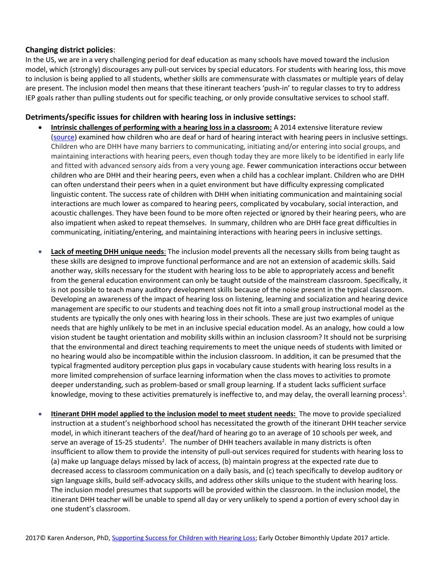# **Changing district policies**:

In the US, we are in a very challenging period for deaf education as many schools have moved toward the inclusion model, which (strongly) discourages any pull-out services by special educators. For students with hearing loss, this move to inclusion is being applied to all students, whether skills are commensurate with classmates or multiple years of delay are present. The inclusion model then means that these itinerant teachers 'push-in' to regular classes to try to address IEP goals rather than pulling students out for specific teaching, or only provide consultative services to school staff.

### **Detriments/specific issues for children with hearing loss in inclusive settings:**

- **Intrinsic challenges of performing with a hearing loss in a classroom:** A 2014 extensive literature review [\(source\)](https://academic.oup.com/jdsde/article-lookup/doi/10.1093/deafed/enu017) examined how children who are deaf or hard of hearing interact with hearing peers in inclusive settings. Children who are DHH have many barriers to communicating, initiating and/or entering into social groups, and maintaining interactions with hearing peers, even though today they are more likely to be identified in early life and fitted with advanced sensory aids from a very young age. Fewer communication interactions occur between children who are DHH and their hearing peers, even when a child has a cochlear implant. Children who are DHH can often understand their peers when in a quiet environment but have difficulty expressing complicated linguistic content. The success rate of children with DHH when initiating communication and maintaining social interactions are much lower as compared to hearing peers, complicated by vocabulary, social interaction, and acoustic challenges. They have been found to be more often rejected or ignored by their hearing peers, who are also impatient when asked to repeat themselves. In summary, children who are DHH face great difficulties in communicating, initiating/entering, and maintaining interactions with hearing peers in inclusive settings.
- **Lack of meeting DHH unique needs**: The inclusion model prevents all the necessary skills from being taught as these skills are designed to improve functional performance and are not an extension of academic skills. Said another way, skills necessary for the student with hearing loss to be able to appropriately access and benefit from the general education environment can only be taught outside of the mainstream classroom. Specifically, it is not possible to teach many auditory development skills because of the noise present in the typical classroom. Developing an awareness of the impact of hearing loss on listening, learning and socialization and hearing device management are specific to our students and teaching does not fit into a small group instructional model as the students are typically the only ones with hearing loss in their schools. These are just two examples of unique needs that are highly unlikely to be met in an inclusive special education model. As an analogy, how could a low vision student be taught orientation and mobility skills within an inclusion classroom? It should not be surprising that the environmental and direct teaching requirements to meet the unique needs of students with limited or no hearing would also be incompatible within the inclusion classroom. In addition, it can be presumed that the typical fragmented auditory perception plus gaps in vocabulary cause students with hearing loss results in a more limited comprehension of surface learning information when the class moves to activities to promote deeper understanding, such as problem-based or small group learning. If a student lacks sufficient surface knowledge, moving to these activities prematurely is ineffective to, and may delay, the overall learning process<sup>1</sup>.
- **Itinerant DHH model applied to the inclusion model to meet student needs:** The move to provide specialized instruction at a student's neighborhood school has necessitated the growth of the itinerant DHH teacher service model, in which itinerant teachers of the deaf/hard of hearing go to an average of 10 schools per week, and serve an average of 15-25 students<sup>2</sup>. The number of DHH teachers available in many districts is often insufficient to allow them to provide the intensity of pull-out services required for students with hearing loss to (a) make up language delays missed by lack of access, (b) maintain progress at the expected rate due to decreased access to classroom communication on a daily basis, and (c) teach specifically to develop auditory or sign language skills, build self-advocacy skills, and address other skills unique to the student with hearing loss. The inclusion model presumes that supports will be provided within the classroom. In the inclusion model, the itinerant DHH teacher will be unable to spend all day or very unlikely to spend a portion of every school day in one student's classroom.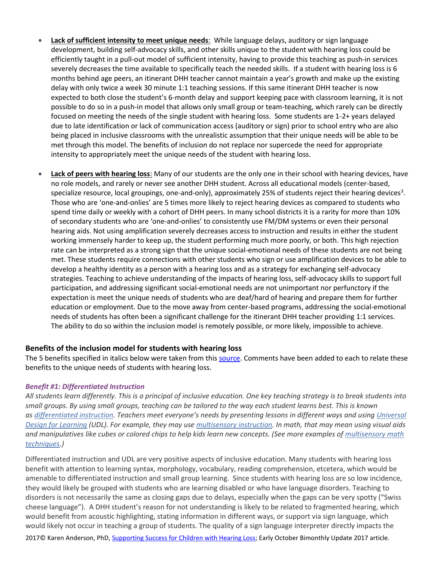- **Lack of sufficient intensity to meet unique needs**: While language delays, auditory or sign language development, building self-advocacy skills, and other skills unique to the student with hearing loss could be efficiently taught in a pull-out model of sufficient intensity, having to provide this teaching as push-in services severely decreases the time available to specifically teach the needed skills. If a student with hearing loss is 6 months behind age peers, an itinerant DHH teacher cannot maintain a year's growth and make up the existing delay with only twice a week 30 minute 1:1 teaching sessions. If this same itinerant DHH teacher is now expected to both close the student's 6-month delay and support keeping pace with classroom learning, it is not possible to do so in a push-in model that allows only small group or team-teaching, which rarely can be directly focused on meeting the needs of the single student with hearing loss. Some students are 1-2+ years delayed due to late identification or lack of communication access (auditory or sign) prior to school entry who are also being placed in inclusive classrooms with the unrealistic assumption that their unique needs will be able to be met through this model. The benefits of inclusion do not replace nor supercede the need for appropriate intensity to appropriately meet the unique needs of the student with hearing loss.
- **Lack of peers with hearing loss**: Many of our students are the only one in their school with hearing devices, have no role models, and rarely or never see another DHH student. Across all educational models (center-based, specialize resource, local groupings, one-and-only), approximately 25% of students reject their hearing devices<sup>3</sup>. Those who are 'one-and-onlies' are 5 times more likely to reject hearing devices as compared to students who spend time daily or weekly with a cohort of DHH peers. In many school districts it is a rarity for more than 10% of secondary students who are 'one-and-onlies' to consistently use FM/DM systems or even their personal hearing aids. Not using amplification severely decreases access to instruction and results in either the student working immensely harder to keep up, the student performing much more poorly, or both. This high rejection rate can be interpreted as a strong sign that the unique social-emotional needs of these students are not being met. These students require connections with other students who sign or use amplification devices to be able to develop a healthy identity as a person with a hearing loss and as a strategy for exchanging self-advocacy strategies. Teaching to achieve understanding of the impacts of hearing loss, self-advocacy skills to support full participation, and addressing significant social-emotional needs are not unimportant nor perfunctory if the expectation is meet the unique needs of students who are deaf/hard of hearing and prepare them for further education or employment. Due to the move away from center-based programs, addressing the social-emotional needs of students has often been a significant challenge for the itinerant DHH teacher providing 1:1 services. The ability to do so within the inclusion model is remotely possible, or more likely, impossible to achieve.

# **Benefits of the inclusion model for students with hearing loss**

The 5 benefits specified in italics below were taken from this [source.](https://www.understood.org/en/learning-attention-issues/treatments-approaches/educational-strategies/5-benefits-of-inclusion-classrooms) Comments have been added to each to relate these benefits to the unique needs of students with hearing loss.

#### *Benefit #1: Differentiated Instruction*

*All students learn differently. This is a principal of inclusive education. One key teaching strategy is to break students into small groups. By using small groups, teaching can be tailored to the way each student learns best. This is known as [differentiated instruction.](https://www.understood.org/en/learning-attention-issues/treatments-approaches/educational-strategies/differentiated-instruction-what-you-need-to-know) Teachers meet everyone's needs by presenting lessons in different ways and using [Universal](https://www.understood.org/en/learning-attention-issues/treatments-approaches/educational-strategies/the-difference-between-universal-design-for-learning-udl-and-traditional-education)  [Design for Learning](https://www.understood.org/en/learning-attention-issues/treatments-approaches/educational-strategies/the-difference-between-universal-design-for-learning-udl-and-traditional-education) (UDL). For example, they may use [multisensory instruction.](https://www.understood.org/en/school-learning/partnering-with-childs-school/instructional-strategies/multisensory-instruction-what-you-need-to-know) In math, that may mean using visual aids and manipulatives like cubes or colored chips to help kids learn new concepts. (See more examples of [multisensory math](https://www.understood.org/en/school-learning/partnering-with-childs-school/instructional-strategies/8-multisensory-techniques-for-teaching-math)  [techniques.](https://www.understood.org/en/school-learning/partnering-with-childs-school/instructional-strategies/8-multisensory-techniques-for-teaching-math))*

Differentiated instruction and UDL are very positive aspects of inclusive education. Many students with hearing loss benefit with attention to learning syntax, morphology, vocabulary, reading comprehension, etcetera, which would be amenable to differentiated instruction and small group learning. Since students with hearing loss are so low incidence, they would likely be grouped with students who are learning disabled or who have language disorders. Teaching to disorders is not necessarily the same as closing gaps due to delays, especially when the gaps can be very spotty ("Swiss cheese language"). A DHH student's reason for not understanding is likely to be related to fragmented hearing, which would benefit from acoustic highlighting, stating information in different ways, or support via sign language, which would likely not occur in teaching a group of students. The quality of a sign language interpreter directly impacts the

2017© Karen Anderson, PhD, [Supporting Success for Children with Hearing Loss;](https://successforkidswithhearingloss.com/) Early October Bimonthly Update 2017 article.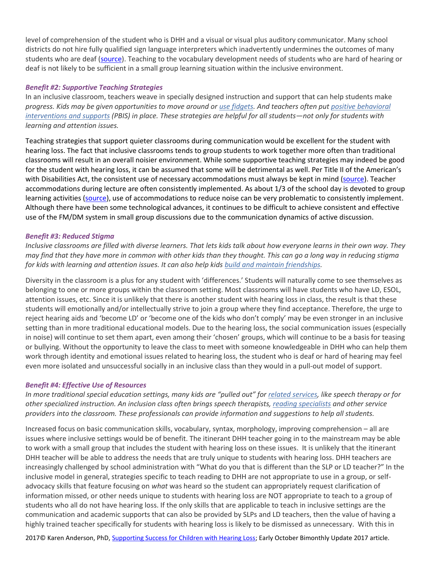level of comprehension of the student who is DHH and a visual or visual plus auditory communicator. Many school districts do not hire fully qualified sign language interpreters which inadvertently undermines the outcomes of many students who are deaf [\(source\)](https://www.google.com/url?sa=t&rct=j&q=&esrc=s&source=web&cd=4&cad=rja&uact=8&ved=0ahUKEwip-t2rkKfUAhVlyoMKHZBwCEEQFgg4MAM&url=http%3A%2F%2Fwww.interpretereducation.org%2Fwp-content%2Fuploads%2F2014%2F02%2FFinal-K-12-Interpreter-Report-12-20.pdf&usg=AFQjCNEgtx4lmdjVbxiQljYjjgBOkvIIGQ). Teaching to the vocabulary development needs of students who are hard of hearing or deaf is not likely to be sufficient in a small group learning situation within the inclusive environment.

### *Benefit #2: Supportive Teaching Strategies*

In an inclusive classroom, teachers weave in specially designed instruction and support that can help students make *progress. Kids may be given opportunities to move around or [use fidgets.](https://www.understood.org/en/learning-attention-issues/child-learning-disabilities/add-adhd/6-types-of-fun-fidgets-for-kids-with-adhd) And teachers often put [positive behavioral](https://www.understood.org/en/learning-attention-issues/treatments-approaches/educational-strategies/pbis-how-schools-support-positive-behavior)  [interventions and supports](https://www.understood.org/en/learning-attention-issues/treatments-approaches/educational-strategies/pbis-how-schools-support-positive-behavior) (PBIS) in place. These strategies are helpful for all students—not only for students with learning and attention issues.*

Teaching strategies that support quieter classrooms during communication would be excellent for the student with hearing loss. The fact that inclusive classrooms tends to group students to work together more often than traditional classrooms will result in an overall noisier environment. While some supportive teaching strategies may indeed be good for the student with hearing loss, it can be assumed that some will be detrimental as well. Per Title II of the American's with Disabilities Act, the consistent use of necessary accommodations must always be kept in mind [\(source\)](http://successforkidswithhearingloss.com/for-professionals/access-via-the-americans-with-disabilities-act/). Teacher accommodations during lecture are often consistently implemented. As about 1/3 of the school day is devoted to group learning activities [\(source\)](https://www.google.com/url?sa=t&rct=j&q=&esrc=s&source=web&cd=1&cad=rja&uact=8&ved=0ahUKEwiZoMKC6cDWAhUN4WMKHav-AzMQFggmMAA&url=https%3A%2F%2Fwww.phonakpro.com%2Fcontent%2Fdam%2Fphonakpro%2Fgc_hq%2Fen%2Fresources%2Fevidence%2Ffield_studies%2Fdocuments%2Ffsn_teens_and_technology.pdf&usg=AFQjCNEIeJLsEqd4OoXdJOaDsqubij6iFA), use of accommodations to reduce noise can be very problematic to consistently implement. Although there have been some technological advances, it continues to be difficult to achieve consistent and effective use of the FM/DM system in small group discussions due to the communication dynamics of active discussion.

#### *Benefit #3: Reduced Stigma*

*Inclusive classrooms are filled with diverse learners. That lets kids talk about how everyone learns in their own way. They may find that they have more in common with other kids than they thought. This can go a long way in reducing stigma for kids with learning and attention issues. It can also help kids [build and maintain friendships.](https://www.understood.org/en/friends-feelings/common-challenges/making-keeping-friends/at-a-glance-4-skills-for-making-friends)*

Diversity in the classroom is a plus for any student with 'differences.' Students will naturally come to see themselves as belonging to one or more groups within the classroom setting. Most classrooms will have students who have LD, ESOL, attention issues, etc. Since it is unlikely that there is another student with hearing loss in class, the result is that these students will emotionally and/or intellectually strive to join a group where they find acceptance. Therefore, the urge to reject hearing aids and 'become LD' or 'become one of the kids who don't comply' may be even stronger in an inclusive setting than in more traditional educational models. Due to the hearing loss, the social communication issues (especially in noise) will continue to set them apart, even among their 'chosen' groups, which will continue to be a basis for teasing or bullying. Without the opportunity to leave the class to meet with someone knowledgeable in DHH who can help them work through identity and emotional issues related to hearing loss, the student who is deaf or hard of hearing may feel even more isolated and unsuccessful socially in an inclusive class than they would in a pull-out model of support.

#### *Benefit #4: Effective Use of Resources*

In more traditional special education settings, many kids are "pulled out" for *related services*, like speech therapy or for *other specialized instruction. An inclusion class often brings speech therapists, [reading specialists](https://www.understood.org/en/learning-attention-issues/treatments-approaches/working-with-clinicians/reading-specialists-what-you-need-to-know) and other service providers into the classroom. These professionals can provide information and suggestions to help all students.*

Increased focus on basic communication skills, vocabulary, syntax, morphology, improving comprehension – all are issues where inclusive settings would be of benefit. The itinerant DHH teacher going in to the mainstream may be able to work with a small group that includes the student with hearing loss on these issues. It is unlikely that the itinerant DHH teacher will be able to address the needs that are truly unique to students with hearing loss. DHH teachers are increasingly challenged by school administration with "What do you that is different than the SLP or LD teacher?" In the inclusive model in general, strategies specific to teach reading to DHH are not appropriate to use in a group, or selfadvocacy skills that feature focusing on *what* was heard so the student can appropriately request clarification of information missed, or other needs unique to students with hearing loss are NOT appropriate to teach to a group of students who all do not have hearing loss. If the only skills that are applicable to teach in inclusive settings are the communication and academic supports that can also be provided by SLPs and LD teachers, then the value of having a highly trained teacher specifically for students with hearing loss is likely to be dismissed as unnecessary. With this in

2017© Karen Anderson, PhD, [Supporting Success for Children with Hearing Loss;](https://successforkidswithhearingloss.com/) Early October Bimonthly Update 2017 article.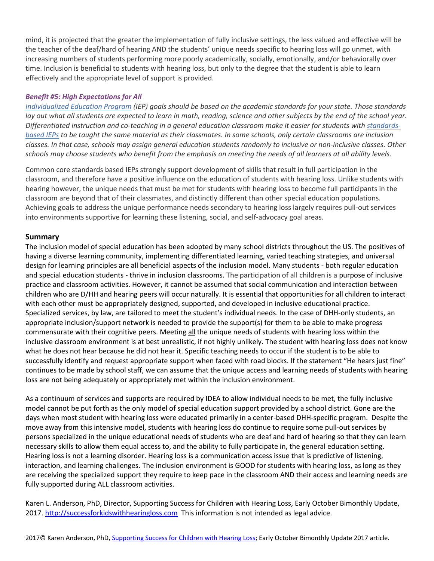mind, it is projected that the greater the implementation of fully inclusive settings, the less valued and effective will be the teacher of the deaf/hard of hearing AND the students' unique needs specific to hearing loss will go unmet, with increasing numbers of students performing more poorly academically, socially, emotionally, and/or behaviorally over time. Inclusion is beneficial to students with hearing loss, but only to the degree that the student is able to learn effectively and the appropriate level of support is provided.

# *Benefit #5: High Expectations for All*

*[Individualized Education Program](javascript:void(0);) (IEP) goals should be based on the academic standards for your state. Those standards lay out what all students are expected to learn in math, reading, science and other subjects by the end of the school year.*  Differentiated instruction and co-teaching in a general education classroom make it easier for students with *standards[based IEPs](https://www.understood.org/en/school-learning/special-services/ieps/faqs-about-standards-based-ieps) to be taught the same material as their classmates. In some schools, only certain classrooms are inclusion classes. In that case, schools may assign general education students randomly to inclusive or non-inclusive classes. Other schools may choose students who benefit from the emphasis on meeting the needs of all learners at all ability levels.*

Common core standards based IEPs strongly support development of skills that result in full participation in the classroom, and therefore have a positive influence on the education of students with hearing loss. Unlike students with hearing however, the unique needs that must be met for students with hearing loss to become full participants in the classroom are beyond that of their classmates, and distinctly different than other special education populations. Achieving goals to address the unique performance needs secondary to hearing loss largely requires pull-out services into environments supportive for learning these listening, social, and self-advocacy goal areas.

#### **Summary**

The inclusion model of special education has been adopted by many school districts throughout the US. The positives of having a diverse learning community, implementing differentiated learning, varied teaching strategies, and universal design for learning principles are all beneficial aspects of the inclusion model. Many students - both regular education and special education students - thrive in inclusion classrooms. The participation of all children is a purpose of inclusive practice and classroom activities. However, it cannot be assumed that social communication and interaction between children who are D/HH and hearing peers will occur naturally. It is essential that opportunities for all children to interact with each other must be appropriately designed, supported, and developed in inclusive educational practice. Specialized services, by law, are tailored to meet the student's individual needs. In the case of DHH-only students, an appropriate inclusion/support network is needed to provide the support(s) for them to be able to make progress commensurate with their cognitive peers. Meeting all the unique needs of students with hearing loss within the inclusive classroom environment is at best unrealistic, if not highly unlikely. The student with hearing loss does not know what he does not hear because he did not hear it. Specific teaching needs to occur if the student is to be able to successfully identify and request appropriate support when faced with road blocks. If the statement "He hears just fine" continues to be made by school staff, we can assume that the unique access and learning needs of students with hearing loss are not being adequately or appropriately met within the inclusion environment.

As a continuum of services and supports are required by IDEA to allow individual needs to be met, the fully inclusive model cannot be put forth as the only model of special education support provided by a school district. Gone are the days when most student with hearing loss were educated primarily in a center-based DHH-specific program. Despite the move away from this intensive model, students with hearing loss do continue to require some pull-out services by persons specialized in the unique educational needs of students who are deaf and hard of hearing so that they can learn necessary skills to allow them equal access to, and the ability to fully participate in, the general education setting. Hearing loss is not a learning disorder. Hearing loss is a communication access issue that is predictive of listening, interaction, and learning challenges. The inclusion environment is GOOD for students with hearing loss, as long as they are receiving the specialized support they require to keep pace in the classroom AND their access and learning needs are fully supported during ALL classroom activities.

Karen L. Anderson, PhD, Director, Supporting Success for Children with Hearing Loss, Early October Bimonthly Update, 2017[. http://successforkidswithhearingloss.com](http://successforkidswithhearingloss.com/) This information is not intended as legal advice.